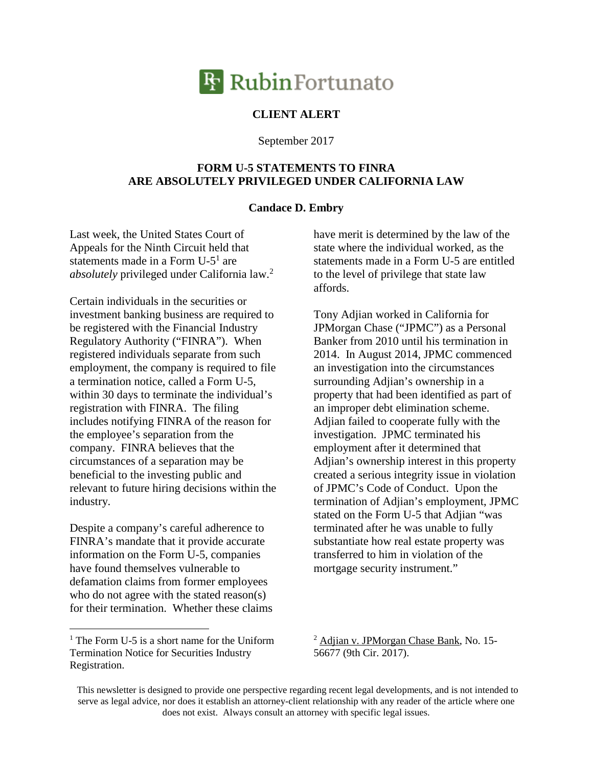

## **CLIENT ALERT**

September 2017

## **FORM U-5 STATEMENTS TO FINRA ARE ABSOLUTELY PRIVILEGED UNDER CALIFORNIA LAW**

## **Candace D. Embry**

Last week, the United States Court of Appeals for the Ninth Circuit held that statements made in a Form U-5<sup>1</sup> are *absolutely* privileged under California law.<sup>2</sup>

Certain individuals in the securities or investment banking business are required to be registered with the Financial Industry Regulatory Authority ("FINRA"). When registered individuals separate from such employment, the company is required to file a termination notice, called a Form U-5, within 30 days to terminate the individual's registration with FINRA. The filing includes notifying FINRA of the reason for the employee's separation from the company. FINRA believes that the circumstances of a separation may be beneficial to the investing public and relevant to future hiring decisions within the industry.

Despite a company's careful adherence to FINRA's mandate that it provide accurate information on the Form U-5, companies have found themselves vulnerable to defamation claims from former employees who do not agree with the stated reason(s) for their termination. Whether these claims have merit is determined by the law of the state where the individual worked, as the statements made in a Form U-5 are entitled to the level of privilege that state law affords.

Tony Adjian worked in California for JPMorgan Chase ("JPMC") as a Personal Banker from 2010 until his termination in 2014. In August 2014, JPMC commenced an investigation into the circumstances surrounding Adjian's ownership in a property that had been identified as part of an improper debt elimination scheme. Adjian failed to cooperate fully with the investigation. JPMC terminated his employment after it determined that Adjian's ownership interest in this property created a serious integrity issue in violation of JPMC's Code of Conduct. Upon the termination of Adjian's employment, JPMC stated on the Form U-5 that Adjian "was terminated after he was unable to fully substantiate how real estate property was transferred to him in violation of the mortgage security instrument."

<sup>2</sup> Adjian v. JPMorgan Chase Bank, No. 15- 56677 (9th Cir. 2017).

<sup>&</sup>lt;sup>1</sup> The Form U-5 is a short name for the Uniform Termination Notice for Securities Industry Registration.

This newsletter is designed to provide one perspective regarding recent legal developments, and is not intended to serve as legal advice, nor does it establish an attorney-client relationship with any reader of the article where one does not exist. Always consult an attorney with specific legal issues.